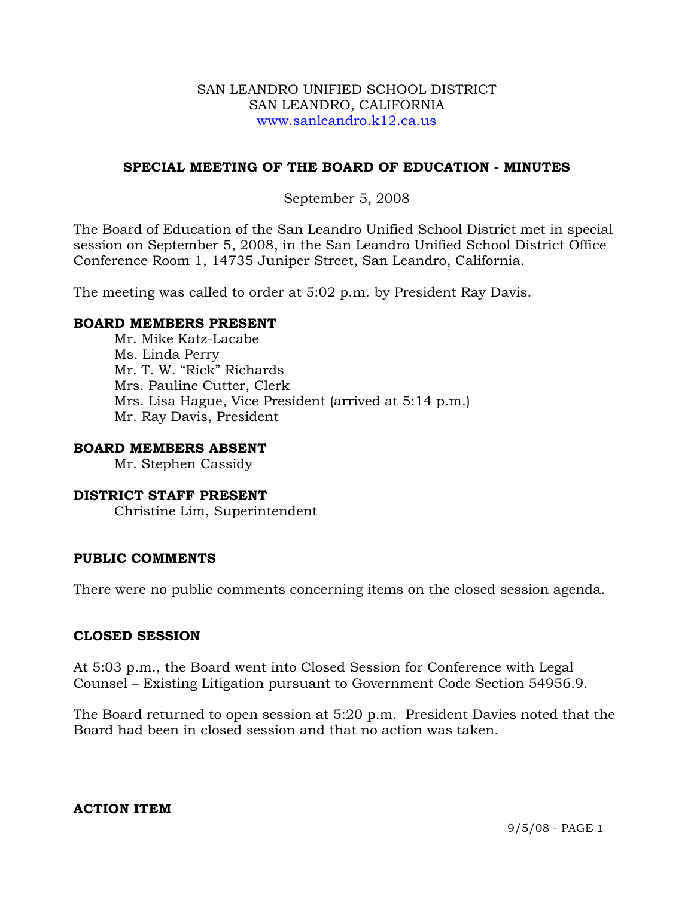#### SAN LEANDRO UNIFIED SCHOOL DISTRICT SAN LEANDRO, CALIFORNIA www.sanleandro.k12.ca.us

# **SPECIAL MEETING OF THE BOARD OF EDUCATION - MINUTES**

# September 5, 2008

The Board of Education of the San Leandro Unified School District met in special session on September 5, 2008, in the San Leandro Unified School District Office Conference Room 1, 14735 Juniper Street, San Leandro, California.

The meeting was called to order at 5:02 p.m. by President Ray Davis.

# **BOARD MEMBERS PRESENT**

Mr. Mike Katz-Lacabe Ms. Linda Perry Mr. T. W. "Rick" Richards Mrs. Pauline Cutter, Clerk Mrs. Lisa Hague, Vice President (arrived at 5:14 p.m.) Mr. Ray Davis, President

# **BOARD MEMBERS ABSENT**

Mr. Stephen Cassidy

#### **DISTRICT STAFF PRESENT**  Christine Lim, Superintendent

# **PUBLIC COMMENTS**

There were no public comments concerning items on the closed session agenda.

#### **CLOSED SESSION**

At 5:03 p.m., the Board went into Closed Session for Conference with Legal Counsel – Existing Litigation pursuant to Government Code Section 54956.9.

The Board returned to open session at 5:20 p.m. President Davies noted that the Board had been in closed session and that no action was taken.

# **ACTION ITEM**